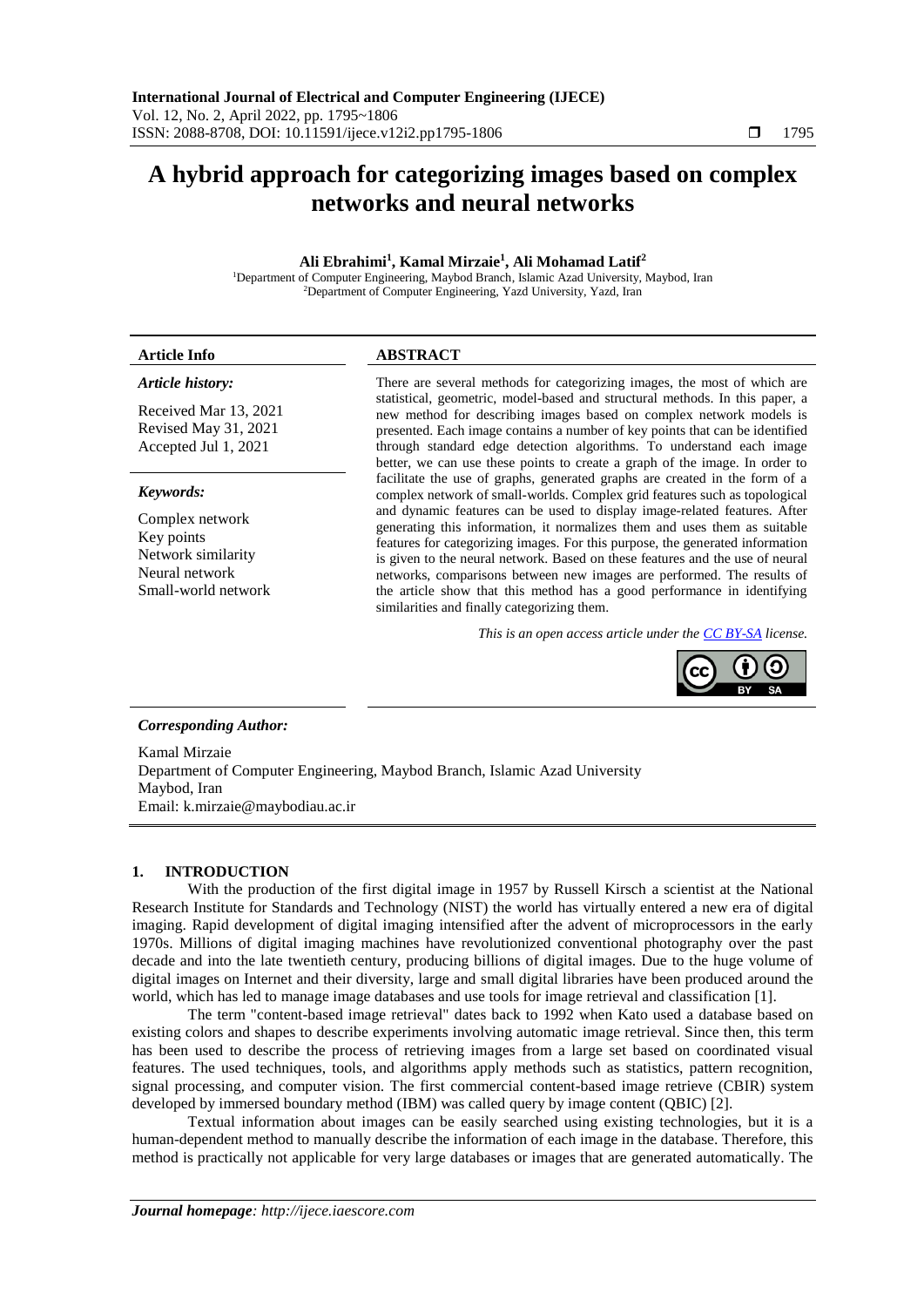# **A hybrid approach for categorizing images based on complex networks and neural networks**

# **Ali Ebrahimi<sup>1</sup> , Kamal Mirzaie<sup>1</sup> , Ali Mohamad Latif<sup>2</sup>**

<sup>1</sup>Department of Computer Engineering, Maybod Branch, Islamic Azad University, Maybod, Iran <sup>2</sup>Department of Computer Engineering, Yazd University, Yazd, Iran

# **Article Info ABSTRACT**

# *Article history:*

Received Mar 13, 2021 Revised May 31, 2021 Accepted Jul 1, 2021

## *Keywords:*

Complex network Key points Network similarity Neural network Small-world network There are several methods for categorizing images, the most of which are statistical, geometric, model-based and structural methods. In this paper, a new method for describing images based on complex network models is presented. Each image contains a number of key points that can be identified through standard edge detection algorithms. To understand each image better, we can use these points to create a graph of the image. In order to facilitate the use of graphs, generated graphs are created in the form of a complex network of small-worlds. Complex grid features such as topological and dynamic features can be used to display image-related features. After generating this information, it normalizes them and uses them as suitable features for categorizing images. For this purpose, the generated information is given to the neural network. Based on these features and the use of neural networks, comparisons between new images are performed. The results of the article show that this method has a good performance in identifying similarities and finally categorizing them.

*This is an open access article under the [CC BY-SA](https://creativecommons.org/licenses/by-sa/4.0/) license.*



# *Corresponding Author:*

Kamal Mirzaie Department of Computer Engineering, Maybod Branch, Islamic Azad University Maybod, Iran Email: k.mirzaie@maybodiau.ac.ir

# **1. INTRODUCTION**

With the production of the first digital image in 1957 by Russell Kirsch a scientist at the National Research Institute for Standards and Technology (NIST) the world has virtually entered a new era of digital imaging. Rapid development of digital imaging intensified after the advent of microprocessors in the early 1970s. Millions of digital imaging machines have revolutionized conventional photography over the past decade and into the late twentieth century, producing billions of digital images. Due to the huge volume of digital images on Internet and their diversity, large and small digital libraries have been produced around the world, which has led to manage image databases and use tools for image retrieval and classification [1].

The term "content-based image retrieval" dates back to 1992 when Kato used a database based on existing colors and shapes to describe experiments involving automatic image retrieval. Since then, this term has been used to describe the process of retrieving images from a large set based on coordinated visual features. The used techniques, tools, and algorithms apply methods such as statistics, pattern recognition, signal processing, and computer vision. The first commercial content-based image retrieve (CBIR) system developed by immersed boundary method (IBM) was called query by image content (QBIC) [2].

Textual information about images can be easily searched using existing technologies, but it is a human-dependent method to manually describe the information of each image in the database. Therefore, this method is practically not applicable for very large databases or images that are generated automatically. The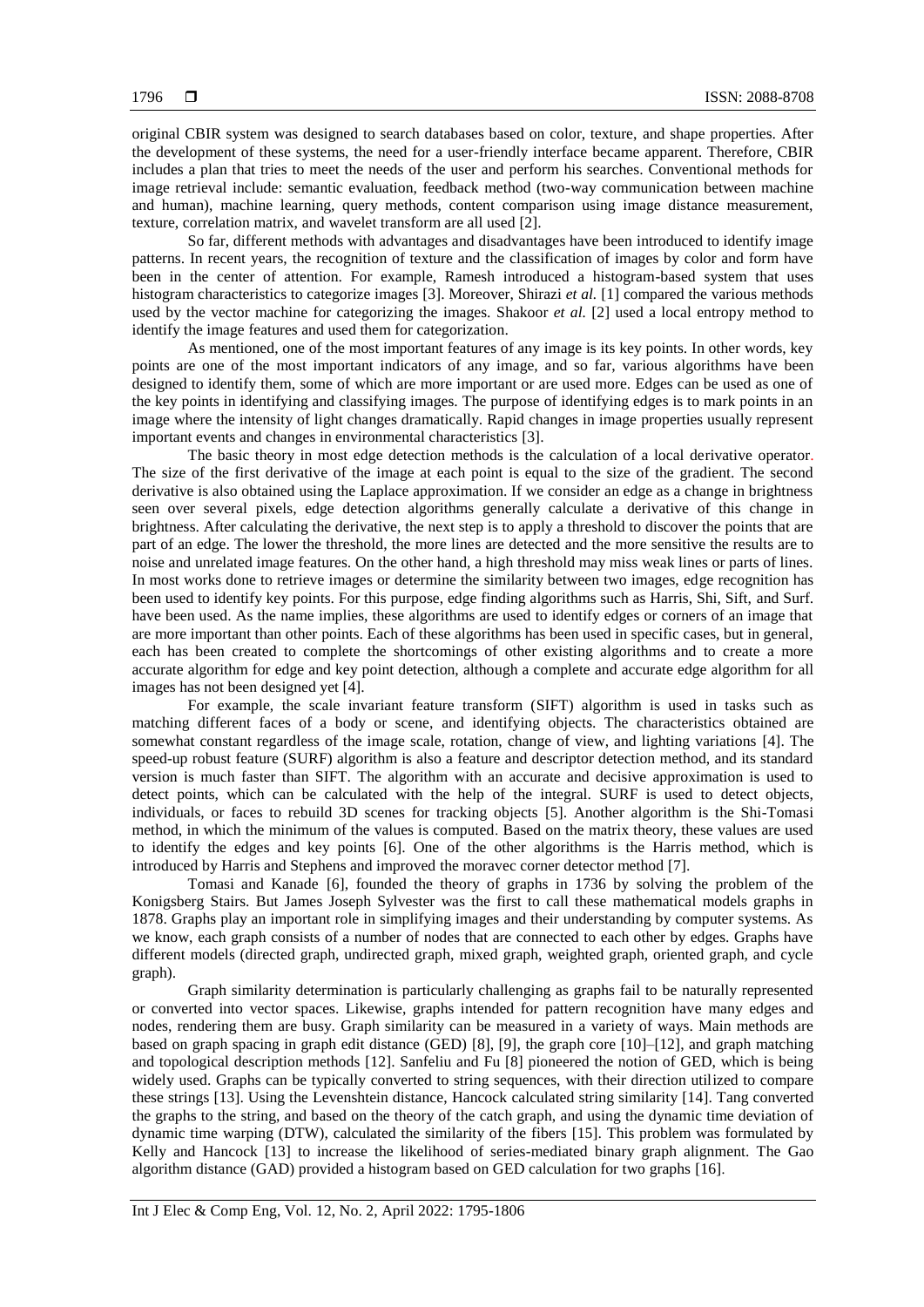original CBIR system was designed to search databases based on color, texture, and shape properties. After the development of these systems, the need for a user-friendly interface became apparent. Therefore, CBIR includes a plan that tries to meet the needs of the user and perform his searches. Conventional methods for image retrieval include: semantic evaluation, feedback method (two-way communication between machine and human), machine learning, query methods, content comparison using image distance measurement, texture, correlation matrix, and wavelet transform are all used [2].

So far, different methods with advantages and disadvantages have been introduced to identify image patterns. In recent years, the recognition of texture and the classification of images by color and form have been in the center of attention. For example, Ramesh introduced a histogram-based system that uses histogram characteristics to categorize images [3]. Moreover, Shirazi et al. [1] compared the various methods used by the vector machine for categorizing the images. Shakoor *et al.* [2] used a local entropy method to identify the image features and used them for categorization.

As mentioned, one of the most important features of any image is its key points. In other words, key points are one of the most important indicators of any image, and so far, various algorithms have been designed to identify them, some of which are more important or are used more. Edges can be used as one of the key points in identifying and classifying images. The purpose of identifying edges is to mark points in an image where the intensity of light changes dramatically. Rapid changes in image properties usually represent important events and changes in environmental characteristics [3].

The basic theory in most edge detection methods is the calculation of a local derivative operator. The size of the first derivative of the image at each point is equal to the size of the gradient. The second derivative is also obtained using the Laplace approximation. If we consider an edge as a change in brightness seen over several pixels, edge detection algorithms generally calculate a derivative of this change in brightness. After calculating the derivative, the next step is to apply a threshold to discover the points that are part of an edge. The lower the threshold, the more lines are detected and the more sensitive the results are to noise and unrelated image features. On the other hand, a high threshold may miss weak lines or parts of lines. In most works done to retrieve images or determine the similarity between two images, edge recognition has been used to identify key points. For this purpose, edge finding algorithms such as Harris, Shi, Sift, and Surf. have been used. As the name implies, these algorithms are used to identify edges or corners of an image that are more important than other points. Each of these algorithms has been used in specific cases, but in general, each has been created to complete the shortcomings of other existing algorithms and to create a more accurate algorithm for edge and key point detection, although a complete and accurate edge algorithm for all images has not been designed yet [4].

For example, the scale invariant feature transform (SIFT) algorithm is used in tasks such as matching different faces of a body or scene, and identifying objects. The characteristics obtained are somewhat constant regardless of the image scale, rotation, change of view, and lighting variations [4]. The speed-up robust feature (SURF) algorithm is also a feature and descriptor detection method, and its standard version is much faster than SIFT. The algorithm with an accurate and decisive approximation is used to detect points, which can be calculated with the help of the integral. SURF is used to detect objects, individuals, or faces to rebuild 3D scenes for tracking objects [5]. Another algorithm is the Shi-Tomasi method, in which the minimum of the values is computed. Based on the matrix theory, these values are used to identify the edges and key points [6]. One of the other algorithms is the Harris method, which is introduced by Harris and Stephens and improved the moravec corner detector method [7].

Tomasi and Kanade [6], founded the theory of graphs in 1736 by solving the problem of the Konigsberg Stairs. But James Joseph Sylvester was the first to call these mathematical models graphs in 1878. Graphs play an important role in simplifying images and their understanding by computer systems. As we know, each graph consists of a number of nodes that are connected to each other by edges. Graphs have different models (directed graph, undirected graph, mixed graph, weighted graph, oriented graph, and cycle graph).

Graph similarity determination is particularly challenging as graphs fail to be naturally represented or converted into vector spaces. Likewise, graphs intended for pattern recognition have many edges and nodes, rendering them are busy. Graph similarity can be measured in a variety of ways. Main methods are based on graph spacing in graph edit distance (GED) [8], [9], the graph core [10]–[12], and graph matching and topological description methods [12]. Sanfeliu and Fu [8] pioneered the notion of GED, which is being widely used. Graphs can be typically converted to string sequences, with their direction utilized to compare these strings [13]. Using the Levenshtein distance, Hancock calculated string similarity [14]. Tang converted the graphs to the string, and based on the theory of the catch graph, and using the dynamic time deviation of dynamic time warping (DTW), calculated the similarity of the fibers [15]. This problem was formulated by Kelly and Hancock [13] to increase the likelihood of series-mediated binary graph alignment. The Gao algorithm distance (GAD) provided a histogram based on GED calculation for two graphs [16].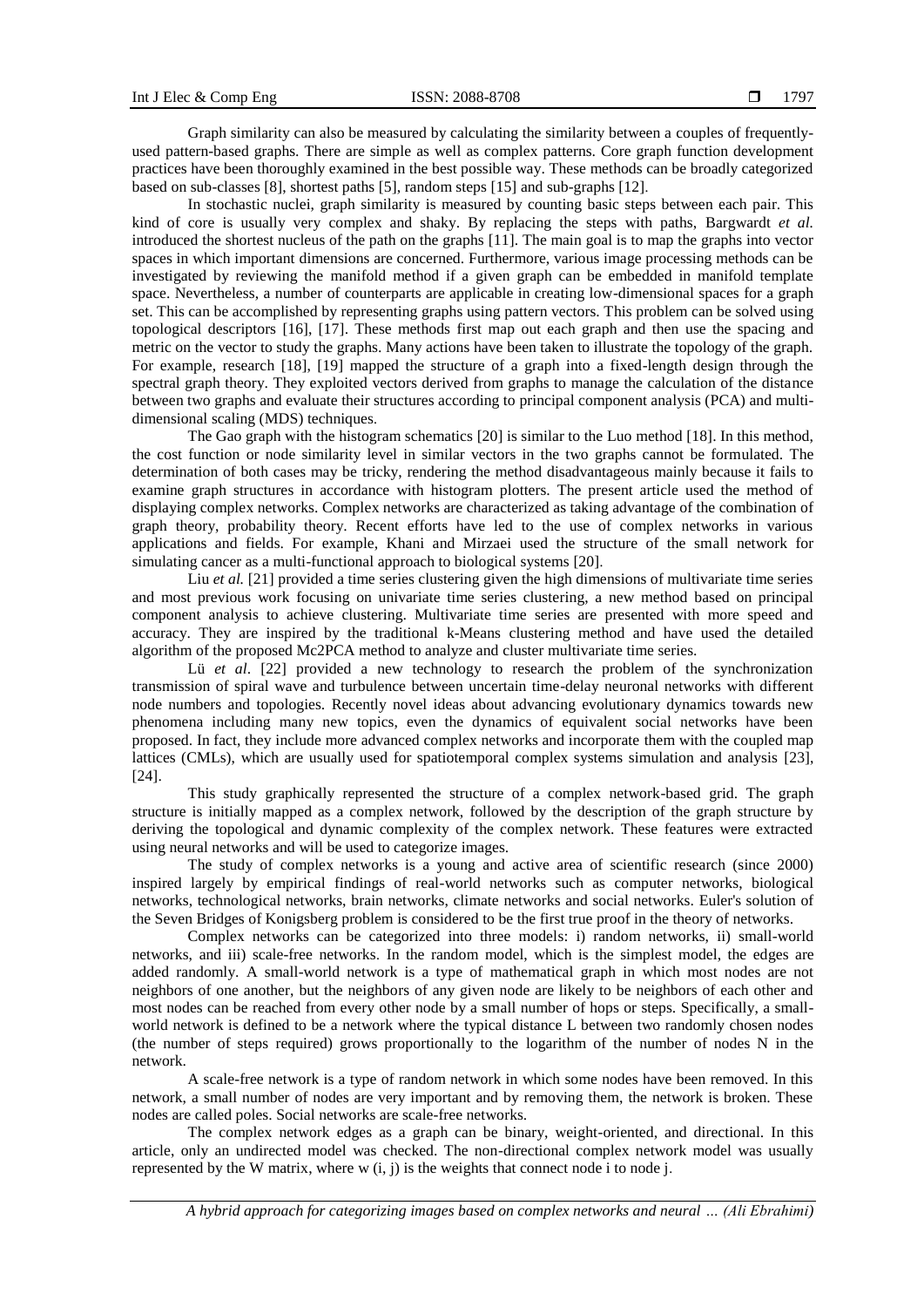Graph similarity can also be measured by calculating the similarity between a couples of frequentlyused pattern-based graphs. There are simple as well as complex patterns. Core graph function development practices have been thoroughly examined in the best possible way. These methods can be broadly categorized based on sub-classes [8], shortest paths [5], random steps [15] and sub-graphs [12].

In stochastic nuclei, graph similarity is measured by counting basic steps between each pair. This kind of core is usually very complex and shaky. By replacing the steps with paths, Bargwardt *et al.* introduced the shortest nucleus of the path on the graphs [11]. The main goal is to map the graphs into vector spaces in which important dimensions are concerned. Furthermore, various image processing methods can be investigated by reviewing the manifold method if a given graph can be embedded in manifold template space. Nevertheless, a number of counterparts are applicable in creating low-dimensional spaces for a graph set. This can be accomplished by representing graphs using pattern vectors. This problem can be solved using topological descriptors [16], [17]. These methods first map out each graph and then use the spacing and metric on the vector to study the graphs. Many actions have been taken to illustrate the topology of the graph. For example, research [18], [19] mapped the structure of a graph into a fixed-length design through the spectral graph theory. They exploited vectors derived from graphs to manage the calculation of the distance between two graphs and evaluate their structures according to principal component analysis (PCA) and multidimensional scaling (MDS) techniques.

The Gao graph with the histogram schematics [20] is similar to the Luo method [18]. In this method, the cost function or node similarity level in similar vectors in the two graphs cannot be formulated. The determination of both cases may be tricky, rendering the method disadvantageous mainly because it fails to examine graph structures in accordance with histogram plotters. The present article used the method of displaying complex networks. Complex networks are characterized as taking advantage of the combination of graph theory, probability theory. Recent efforts have led to the use of complex networks in various applications and fields. For example, Khani and Mirzaei used the structure of the small network for simulating cancer as a multi-functional approach to biological systems [20].

Liu *et al.* [21] provided a time series clustering given the high dimensions of multivariate time series and most previous work focusing on univariate time series clustering, a new method based on principal component analysis to achieve clustering. Multivariate time series are presented with more speed and accuracy. They are inspired by the traditional k-Means clustering method and have used the detailed algorithm of the proposed Mc2PCA method to analyze and cluster multivariate time series.

[Lü](https://www.sciencedirect.com/science/article/abs/pii/S0378437119302894#!) *et al*. [22] provided a new technology to research the problem of the synchronization transmission of spiral wave and turbulence between uncertain time-delay neuronal networks with different node numbers and topologies. Recently novel ideas about advancing evolutionary dynamics towards new phenomena including many new topics, even the dynamics of equivalent social networks have been proposed. In fact, they include more advanced complex networks and incorporate them with the coupled map lattices (CMLs), which are usually used for spatiotemporal complex systems simulation and analysis [23], [24].

This study graphically represented the structure of a complex network-based grid. The graph structure is initially mapped as a complex network, followed by the description of the graph structure by deriving the topological and dynamic complexity of the complex network. These features were extracted using neural networks and will be used to categorize images.

The study of complex networks is a young and active area of scientific research (since 2000) inspired largely by empirical findings of real-world networks such as [computer networks,](https://en.wikipedia.org/wiki/Computer_network) [biological](https://en.wikipedia.org/wiki/Biological_network)  [networks,](https://en.wikipedia.org/wiki/Biological_network) technological networks, [brain networks,](https://en.wikipedia.org/wiki/Connectome) [climate networks](https://en.wikipedia.org/wiki/Climate_networks) and [social networks.](https://en.wikipedia.org/wiki/Social_network) [Euler's](https://en.wikipedia.org/wiki/Euler) solution of the [Seven Bridges of Konigsberg problem](https://en.wikipedia.org/wiki/Seven_Bridges_of_K%C3%B6nigsberg) is considered to be the first true proof in the theory of networks.

Complex networks can be categorized into three models: i) random networks, ii) small-world networks, and iii) scale-free networks. In the random model, which is the simplest model, the edges are added randomly. A small-world network is a type of [mathematical graph](https://en.wikipedia.org/wiki/Graph_(discrete_mathematics)) in which most nodes are not neighbors of one another, but the neighbors of any given node are likely to be neighbors of each other and most nodes can be reached from every other node by a small number of hops or steps. Specifically, a smallworld network is defined to be a network where the [typical](https://en.wikipedia.org/wiki/Expected_value) distance L between two randomly chosen nodes (the number of steps required) grows proportionally to the [logarithm](https://en.wikipedia.org/wiki/Logarithm) of the number of nodes N in the network.

A scale-free network is a type of random network in which some nodes have been removed. In this network, a small number of nodes are very important and by removing them, the network is broken. These nodes are called poles. Social networks are scale-free networks.

The complex network edges as a graph can be binary, weight-oriented, and directional. In this article, only an undirected model was checked. The non-directional complex network model was usually represented by the W matrix, where  $w(i, j)$  is the weights that connect node i to node i.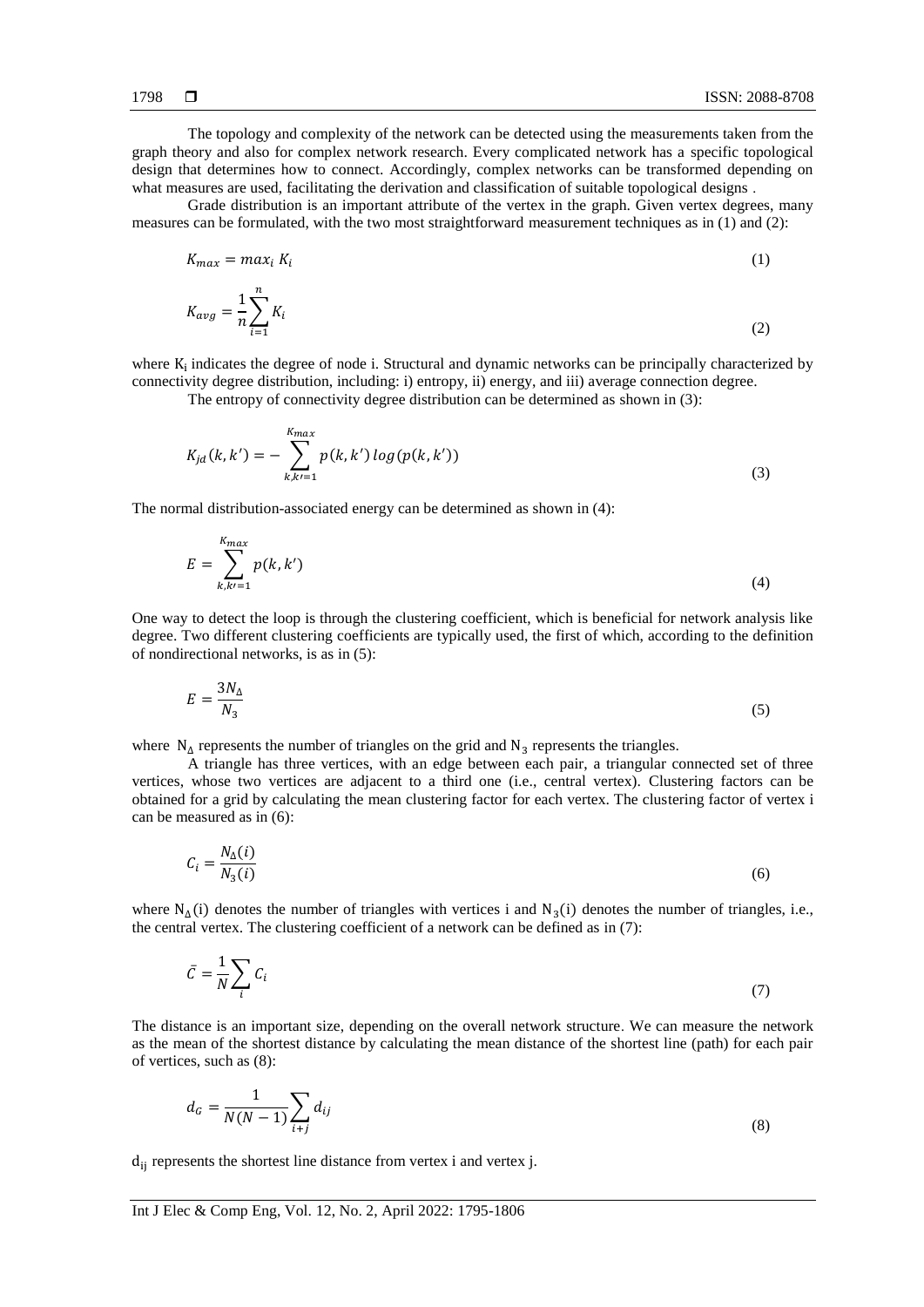The topology and complexity of the network can be detected using the measurements taken from the graph theory and also for complex network research. Every complicated network has a specific topological design that determines how to connect. Accordingly, complex networks can be transformed depending on what measures are used, facilitating the derivation and classification of suitable topological designs .

Grade distribution is an important attribute of the vertex in the graph. Given vertex degrees, many measures can be formulated, with the two most straightforward measurement techniques as in (1) and (2):

$$
K_{max} = max_i K_i \tag{1}
$$

$$
K_{avg} = \frac{1}{n} \sum_{i=1}^{n} K_i
$$
\n<sup>(2)</sup>

where  $K_i$  indicates the degree of node i. Structural and dynamic networks can be principally characterized by connectivity degree distribution, including: i) entropy, ii) energy, and iii) average connection degree.

The entropy of connectivity degree distribution can be determined as shown in (3):

$$
K_{jd}(k, k') = -\sum_{k, k'=1}^{K_{max}} p(k, k') \log(p(k, k')) \tag{3}
$$

The normal distribution-associated energy can be determined as shown in (4):

$$
E = \sum_{k,k'=1}^{K_{max}} p(k,k')
$$
\n(4)

One way to detect the loop is through the clustering coefficient, which is beneficial for network analysis like degree. Two different clustering coefficients are typically used, the first of which, according to the definition of nondirectional networks, is as in (5):

$$
E = \frac{3N_{\Delta}}{N_3} \tag{5}
$$

where  $N_{\Delta}$  represents the number of triangles on the grid and  $N_3$  represents the triangles.

A triangle has three vertices, with an edge between each pair, a triangular connected set of three vertices, whose two vertices are adjacent to a third one (i.e., central vertex). Clustering factors can be obtained for a grid by calculating the mean clustering factor for each vertex. The clustering factor of vertex i can be measured as in (6):

$$
C_i = \frac{N_{\Delta}(i)}{N_3(i)}\tag{6}
$$

where  $N_{\Delta}(i)$  denotes the number of triangles with vertices i and  $N_3(i)$  denotes the number of triangles, i.e., the central vertex. The clustering coefficient of a network can be defined as in (7):

$$
\bar{C} = \frac{1}{N} \sum_{i} C_i \tag{7}
$$

The distance is an important size, depending on the overall network structure. We can measure the network as the mean of the shortest distance by calculating the mean distance of the shortest line (path) for each pair of vertices, such as (8):

$$
d_G = \frac{1}{N(N-1)} \sum_{i+j} d_{ij} \tag{8}
$$

 $d_{ii}$  represents the shortest line distance from vertex i and vertex j.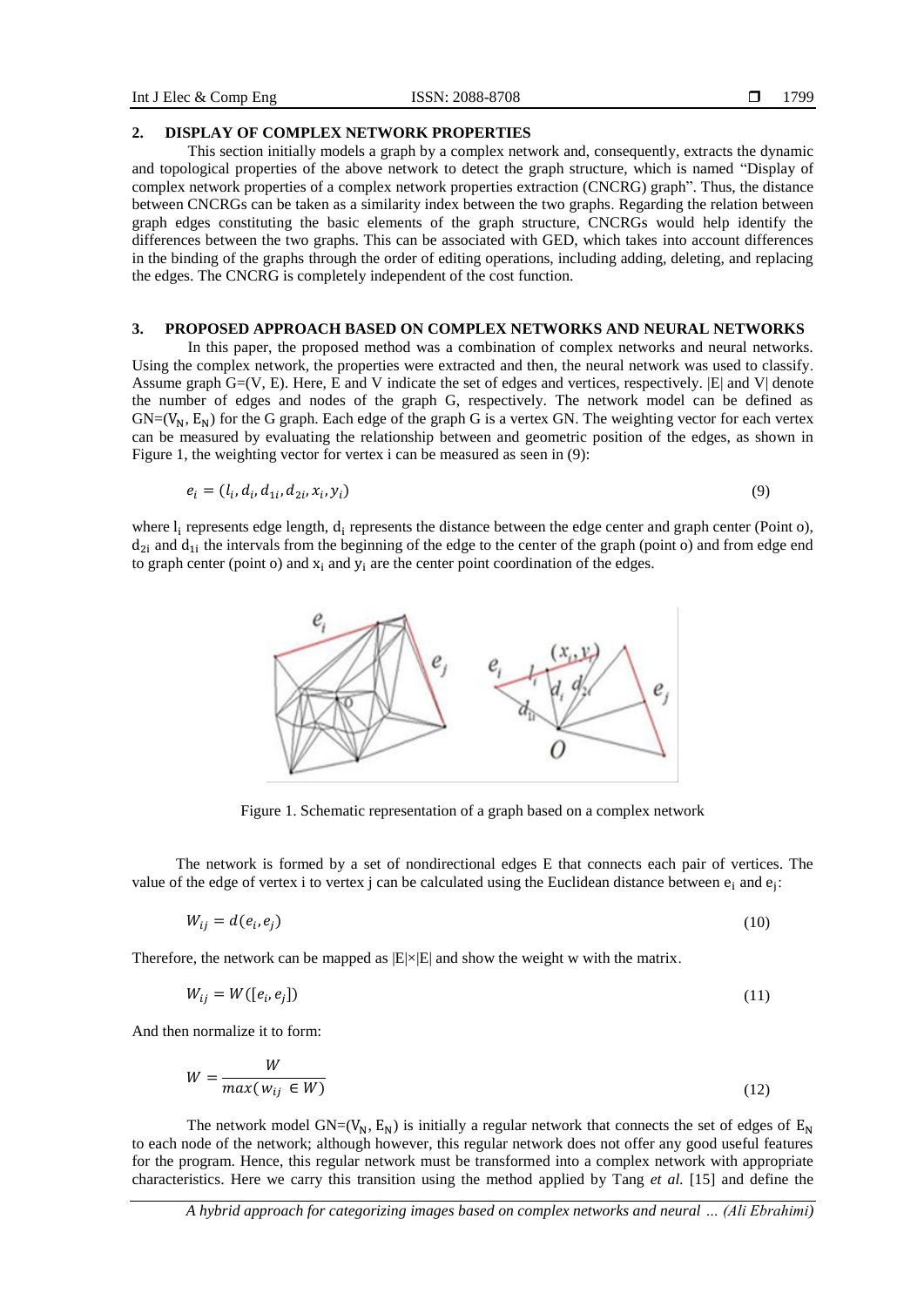#### **2. DISPLAY OF COMPLEX NETWORK PROPERTIES**

This section initially models a graph by a complex network and, consequently, extracts the dynamic and topological properties of the above network to detect the graph structure, which is named "Display of complex network properties of a complex network properties extraction (CNCRG) graph". Thus, the distance between CNCRGs can be taken as a similarity index between the two graphs. Regarding the relation between graph edges constituting the basic elements of the graph structure, CNCRGs would help identify the differences between the two graphs. This can be associated with GED, which takes into account differences in the binding of the graphs through the order of editing operations, including adding, deleting, and replacing the edges. The CNCRG is completely independent of the cost function.

#### **3. PROPOSED APPROACH BASED ON COMPLEX NETWORKS AND NEURAL NETWORKS**

In this paper, the proposed method was a combination of complex networks and neural networks. Using the complex network, the properties were extracted and then, the neural network was used to classify. Assume graph  $G=(V, E)$ . Here, E and V indicate the set of edges and vertices, respectively.  $|E|$  and V denote the number of edges and nodes of the graph G, respectively. The network model can be defined as  $GN=(V_N, E_N)$  for the G graph. Each edge of the graph G is a vertex GN. The weighting vector for each vertex can be measured by evaluating the relationship between and geometric position of the edges, as shown in Figure 1, the weighting vector for vertex i can be measured as seen in (9):

$$
e_i = (l_i, d_i, d_{1i}, d_{2i}, x_i, y_i) \tag{9}
$$

where  $l_i$  represents edge length,  $d_i$  represents the distance between the edge center and graph center (Point o),  $d_{2i}$  and  $d_{1i}$  the intervals from the beginning of the edge to the center of the graph (point o) and from edge end to graph center (point o) and  $x_i$  and  $y_i$  are the center point coordination of the edges.



Figure 1. Schematic representation of a graph based on a complex network

The network is formed by a set of nondirectional edges E that connects each pair of vertices. The value of the edge of vertex i to vertex j can be calculated using the Euclidean distance between  $e_i$  and  $e_j$ :

$$
W_{ij} = d(e_i, e_j) \tag{10}
$$

Therefore, the network can be mapped as  $|E| \times |E|$  and show the weight w with the matrix.

$$
W_{ij} = W([e_i, e_j])
$$
\n<sup>(11)</sup>

And then normalize it to form:

$$
W = \frac{W}{\max(w_{ij} \in W)}\tag{12}
$$

The network model  $GN=(V_N, E_N)$  is initially a regular network that connects the set of edges of  $E_N$ to each node of the network; although however, this regular network does not offer any good useful features for the program. Hence, this regular network must be transformed into a complex network with appropriate characteristics. Here we carry this transition using the method applied by Tang *et al.* [15] and define the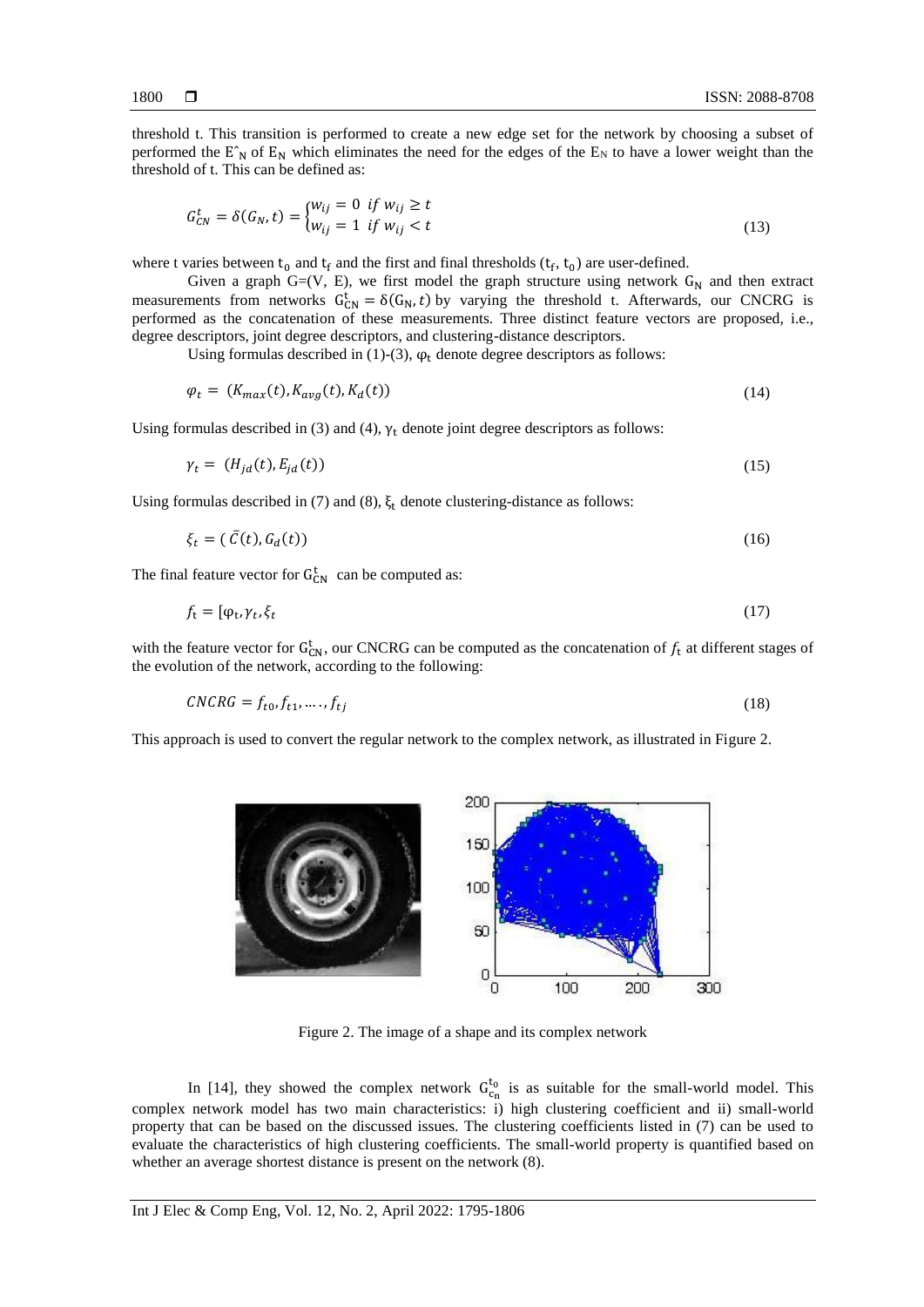threshold t. This transition is performed to create a new edge set for the network by choosing a subset of performed the  $E_N$  of  $E_N$  which eliminates the need for the edges of the  $E_N$  to have a lower weight than the threshold of t. This can be defined as:

$$
G_{CN}^t = \delta(G_N, t) = \begin{cases} w_{ij} = 0 & \text{if } w_{ij} \ge t \\ w_{ij} = 1 & \text{if } w_{ij} < t \end{cases}
$$
(13)

where t varies between  $t_0$  and  $t_f$  and the first and final thresholds  $(t_f, t_0)$  are user-defined.

Given a graph G=(V, E), we first model the graph structure using network  $G_N$  and then extract measurements from networks  $G_{CN}^t = \delta(G_N, t)$  by varying the threshold t. Afterwards, our CNCRG is performed as the concatenation of these measurements. Three distinct feature vectors are proposed, i.e., degree descriptors, joint degree descriptors, and clustering-distance descriptors.

Using formulas described in (1)-(3),  $\varphi_t$  denote degree descriptors as follows:

$$
\varphi_t = (K_{max}(t), K_{avg}(t), K_d(t)) \tag{14}
$$

Using formulas described in (3) and (4),  $\gamma_t$  denote joint degree descriptors as follows:

$$
\gamma_t = (H_{jd}(t), E_{jd}(t)) \tag{15}
$$

Using formulas described in (7) and (8),  $\xi_t$  denote clustering-distance as follows:

$$
\xi_t = (\bar{C}(t), G_d(t))
$$
\n(16)

The final feature vector for  $G_{CN}^t$  can be computed as:

$$
f_{t} = [\varphi_{t}, \gamma_{t}, \xi_{t} \tag{17}
$$

with the feature vector for  $G_{CN}^t$ , our CNCRG can be computed as the concatenation of  $f_t$  at different stages of the evolution of the network, according to the following:

$$
CNCRG = f_{t0}, f_{t1}, \dots, f_{tj} \tag{18}
$$

This approach is used to convert the regular network to the complex network, as illustrated in Figure 2.



Figure 2. The image of a shape and its complex network

In [14], they showed the complex network  $G_{c_n}^{t_0}$  is as suitable for the small-world model. This complex network model has two main characteristics: i) high clustering coefficient and ii) small-world property that can be based on the discussed issues. The clustering coefficients listed in (7) can be used to evaluate the characteristics of high clustering coefficients. The small-world property is quantified based on whether an average shortest distance is present on the network (8).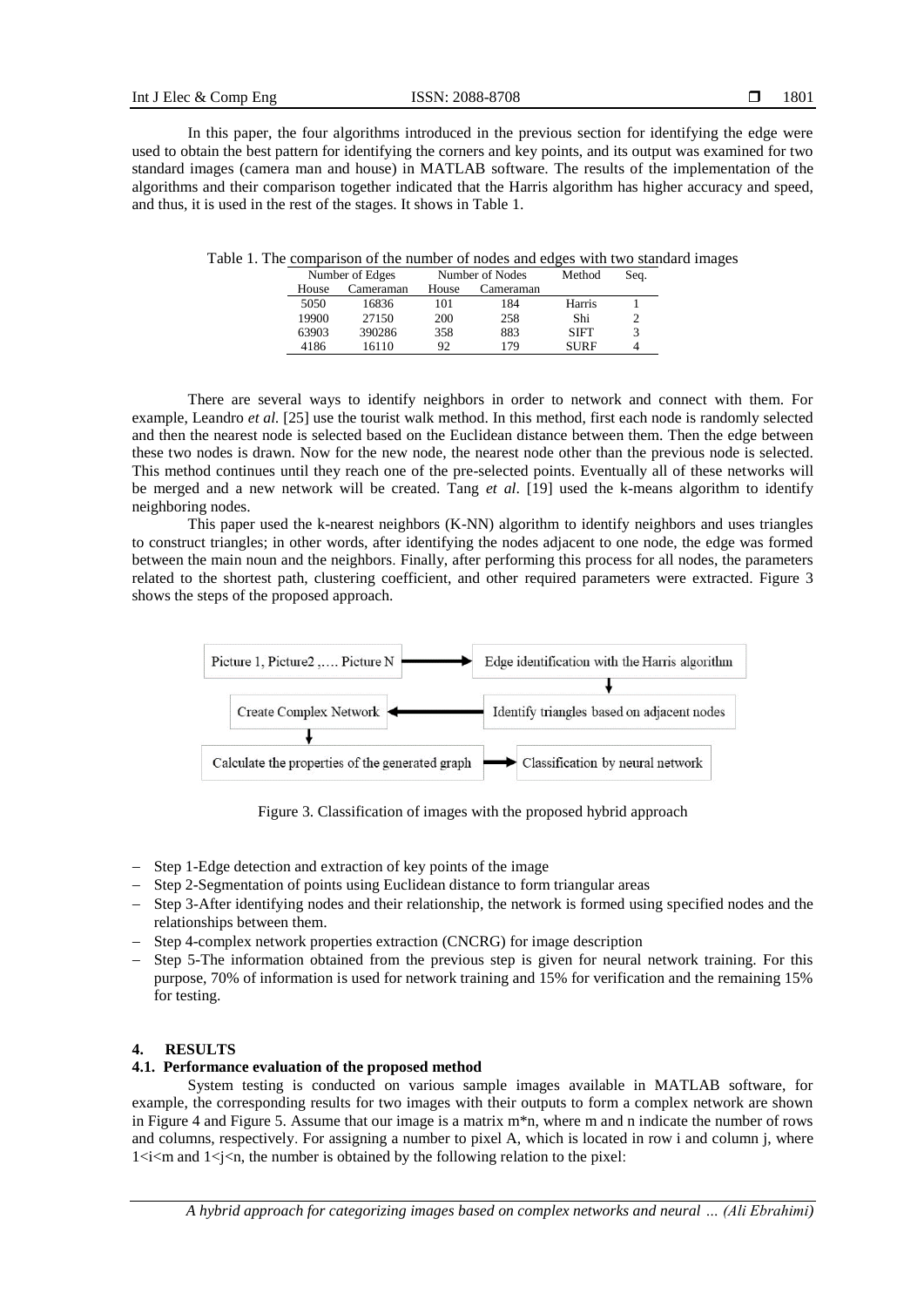In this paper, the four algorithms introduced in the previous section for identifying the edge were used to obtain the best pattern for identifying the corners and key points, and its output was examined for two standard images (camera man and house) in MATLAB software. The results of the implementation of the algorithms and their comparison together indicated that the Harris algorithm has higher accuracy and speed, and thus, it is used in the rest of the stages. It shows in Table 1.

| Number of Edges |           | Number of Nodes |           | Method      | Seq. |
|-----------------|-----------|-----------------|-----------|-------------|------|
| House           | Cameraman | House           | Cameraman |             |      |
| 5050            | 16836     | 101             | 184       | Harris      |      |
| 19900           | 27150     | 200             | 258       | Shi         |      |
| 63903           | 390286    | 358             | 883       | <b>SIFT</b> | 3    |
| 4186            | 16110     | 92              | 179       | <b>SURF</b> |      |

Table 1. The comparison of the number of nodes and edges with two standard images

There are several ways to identify neighbors in order to network and connect with them. For example, Leandro *et al.* [25] use the tourist walk method. In this method, first each node is randomly selected and then the nearest node is selected based on the Euclidean distance between them. Then the edge between these two nodes is drawn. Now for the new node, the nearest node other than the previous node is selected. This method continues until they reach one of the pre-selected points. Eventually all of these networks will be merged and a new network will be created. Tang *et al*. [19] used the k-means algorithm to identify neighboring nodes.

This paper used the k-nearest neighbors (K-NN) algorithm to identify neighbors and uses triangles to construct triangles; in other words, after identifying the nodes adjacent to one node, the edge was formed between the main noun and the neighbors. Finally, after performing this process for all nodes, the parameters related to the shortest path, clustering coefficient, and other required parameters were extracted. Figure 3 shows the steps of the proposed approach.



Figure 3. Classification of images with the proposed hybrid approach

- − Step 1-Edge detection and extraction of key points of the image
- − Step 2-Segmentation of points using Euclidean distance to form triangular areas
- − Step 3-After identifying nodes and their relationship, the network is formed using specified nodes and the relationships between them.
- − Step 4-complex network properties extraction (CNCRG) for image description
- − Step 5-The information obtained from the previous step is given for neural network training. For this purpose, 70% of information is used for network training and 15% for verification and the remaining 15% for testing.

## **4. RESULTS**

# **4.1. Performance evaluation of the proposed method**

System testing is conducted on various sample images available in MATLAB software, for example, the corresponding results for two images with their outputs to form a complex network are shown in Figure 4 and Figure 5. Assume that our image is a matrix m\*n, where m and n indicate the number of rows and columns, respectively. For assigning a number to pixel A, which is located in row i and column j, where  $1 \le i \le m$  and  $1 \le j \le n$ , the number is obtained by the following relation to the pixel: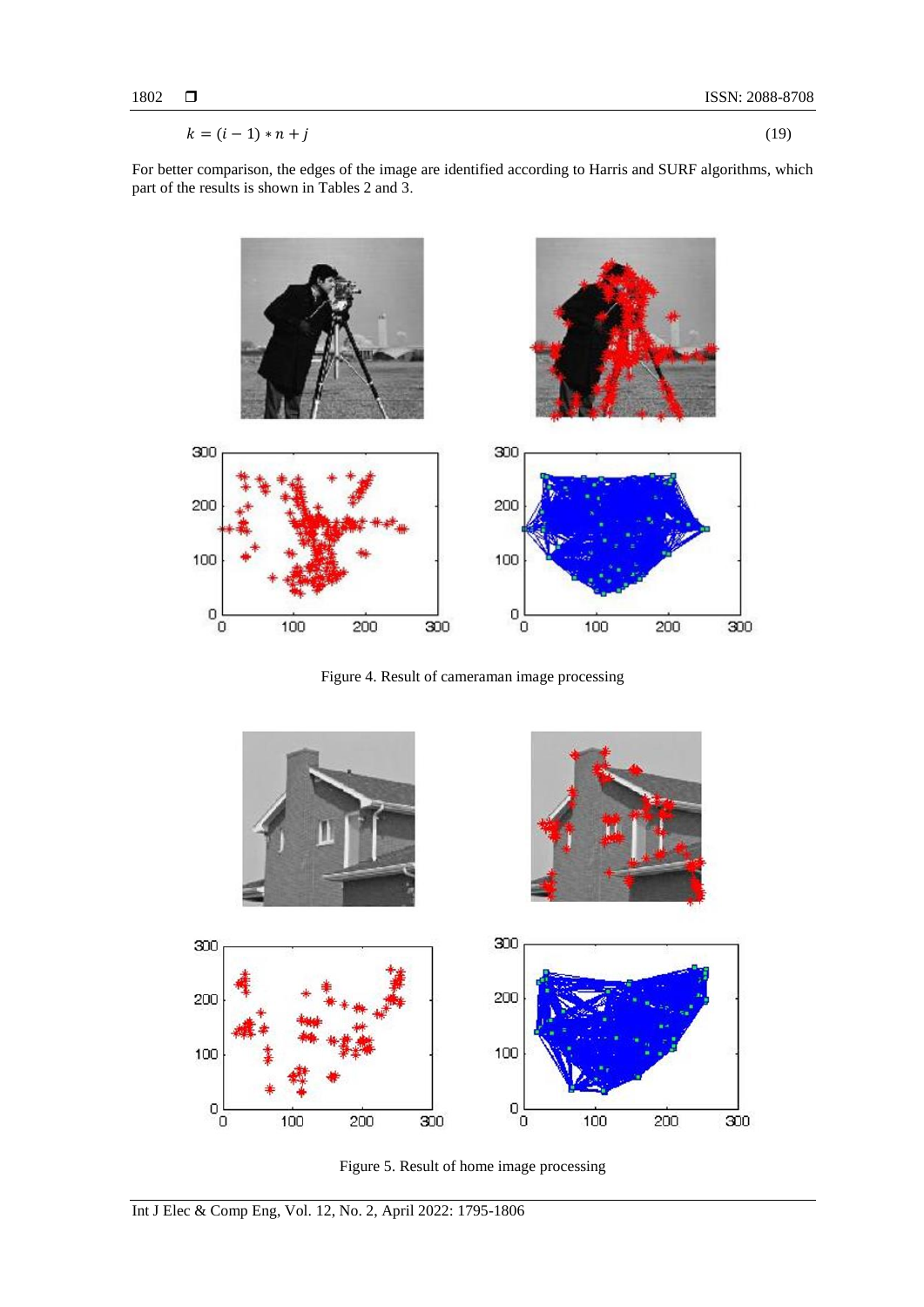$$
k = (i-1) * n + j \tag{19}
$$

For better comparison, the edges of the image are identified according to Harris and SURF algorithms, which part of the results is shown in Tables 2 and 3.



Figure 4. Result of cameraman image processing



Figure 5. Result of home image processing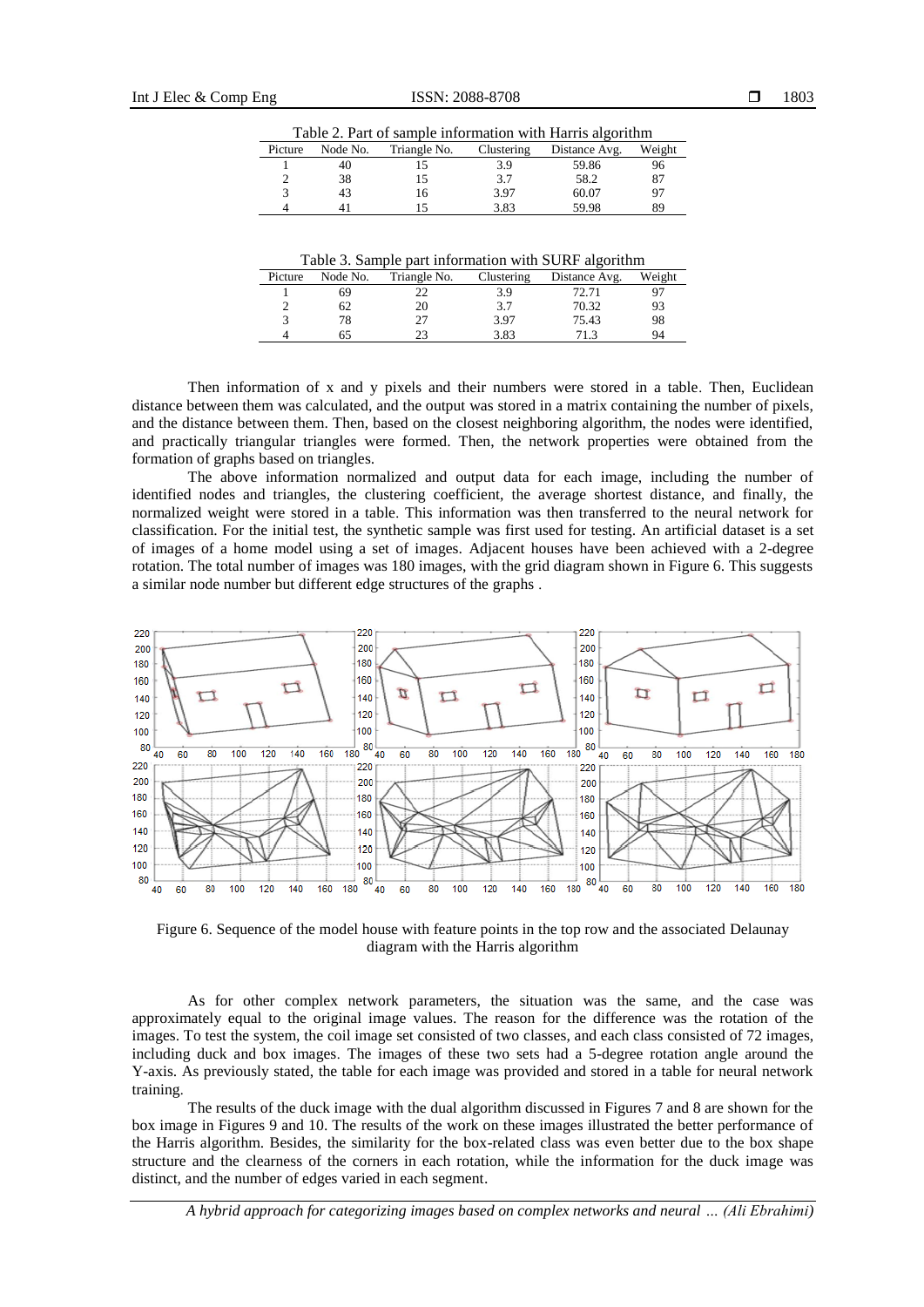| Table 2. I all of sample morthanon with Hams algorithm |          |              |            |               |        |  |  |  |
|--------------------------------------------------------|----------|--------------|------------|---------------|--------|--|--|--|
| Picture                                                | Node No. | Triangle No. | Clustering | Distance Avg. | Weight |  |  |  |
|                                                        | 40       |              | 3.9        | 59.86         | 96     |  |  |  |
|                                                        | 38       |              | 3.7        | 58.2          | 87     |  |  |  |
|                                                        | 43       | 16           | 3.97       | 60.07         | 97     |  |  |  |
|                                                        |          |              | 3.83       | 59.98         | 89     |  |  |  |

Table 2. Part of sample information with Harris algorithm

Table 3. Sample part information with SURF algorithm

| Picture | Node No. | Triangle No. | Clustering | Distance Avg. | Weight |
|---------|----------|--------------|------------|---------------|--------|
|         |          |              | 3.9        | 72.71         |        |
|         | 62       | 20           | 3.7        | 70.32         | 93     |
|         |          | 27           | 3.97       | 75.43         | 98     |
|         |          | າາ           | 3.83       | 712           | 94     |

Then information of x and y pixels and their numbers were stored in a table. Then, Euclidean distance between them was calculated, and the output was stored in a matrix containing the number of pixels, and the distance between them. Then, based on the closest neighboring algorithm, the nodes were identified, and practically triangular triangles were formed. Then, the network properties were obtained from the formation of graphs based on triangles.

The above information normalized and output data for each image, including the number of identified nodes and triangles, the clustering coefficient, the average shortest distance, and finally, the normalized weight were stored in a table. This information was then transferred to the neural network for classification. For the initial test, the synthetic sample was first used for testing. An artificial dataset is a set of images of a home model using a set of images. Adjacent houses have been achieved with a 2-degree rotation. The total number of images was 180 images, with the grid diagram shown in Figure 6. This suggests a similar node number but different edge structures of the graphs .



Figure 6. Sequence of the model house with feature points in the top row and the associated Delaunay diagram with the Harris algorithm

As for other complex network parameters, the situation was the same, and the case was approximately equal to the original image values. The reason for the difference was the rotation of the images. To test the system, the coil image set consisted of two classes, and each class consisted of 72 images, including duck and box images. The images of these two sets had a 5-degree rotation angle around the Y-axis. As previously stated, the table for each image was provided and stored in a table for neural network training.

The results of the duck image with the dual algorithm discussed in Figures 7 and 8 are shown for the box image in Figures 9 and 10. The results of the work on these images illustrated the better performance of the Harris algorithm. Besides, the similarity for the box-related class was even better due to the box shape structure and the clearness of the corners in each rotation, while the information for the duck image was distinct, and the number of edges varied in each segment.

*A hybrid approach for categorizing images based on complex networks and neural … (Ali Ebrahimi)*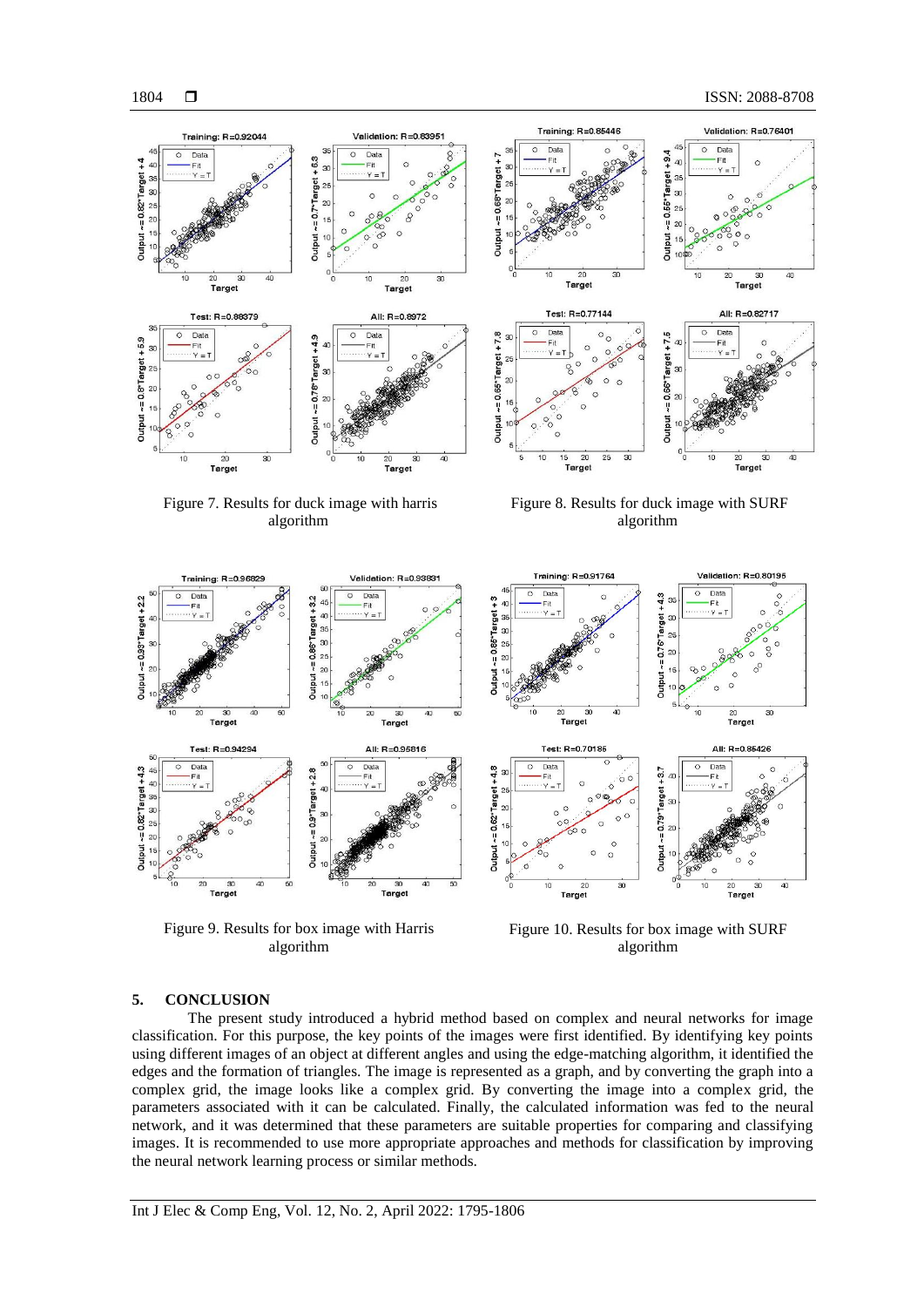

Figure 9. Results for box image with Harris algorithm

 $\overline{\mathbf{a}}$ 

Target

 $\overline{\mathbf{g}}$ 

Figure 10. Results for box image with SURF algorithm

20<br>Target

20<br>Target

#### **5. CONCLUSION**

 $\frac{30}{1}$ 

The present study introduced a hybrid method based on complex and neural networks for image classification. For this purpose, the key points of the images were first identified. By identifying key points using different images of an object at different angles and using the edge-matching algorithm, it identified the edges and the formation of triangles. The image is represented as a graph, and by converting the graph into a complex grid, the image looks like a complex grid. By converting the image into a complex grid, the parameters associated with it can be calculated. Finally, the calculated information was fed to the neural network, and it was determined that these parameters are suitable properties for comparing and classifying images. It is recommended to use more appropriate approaches and methods for classification by improving the neural network learning process or similar methods.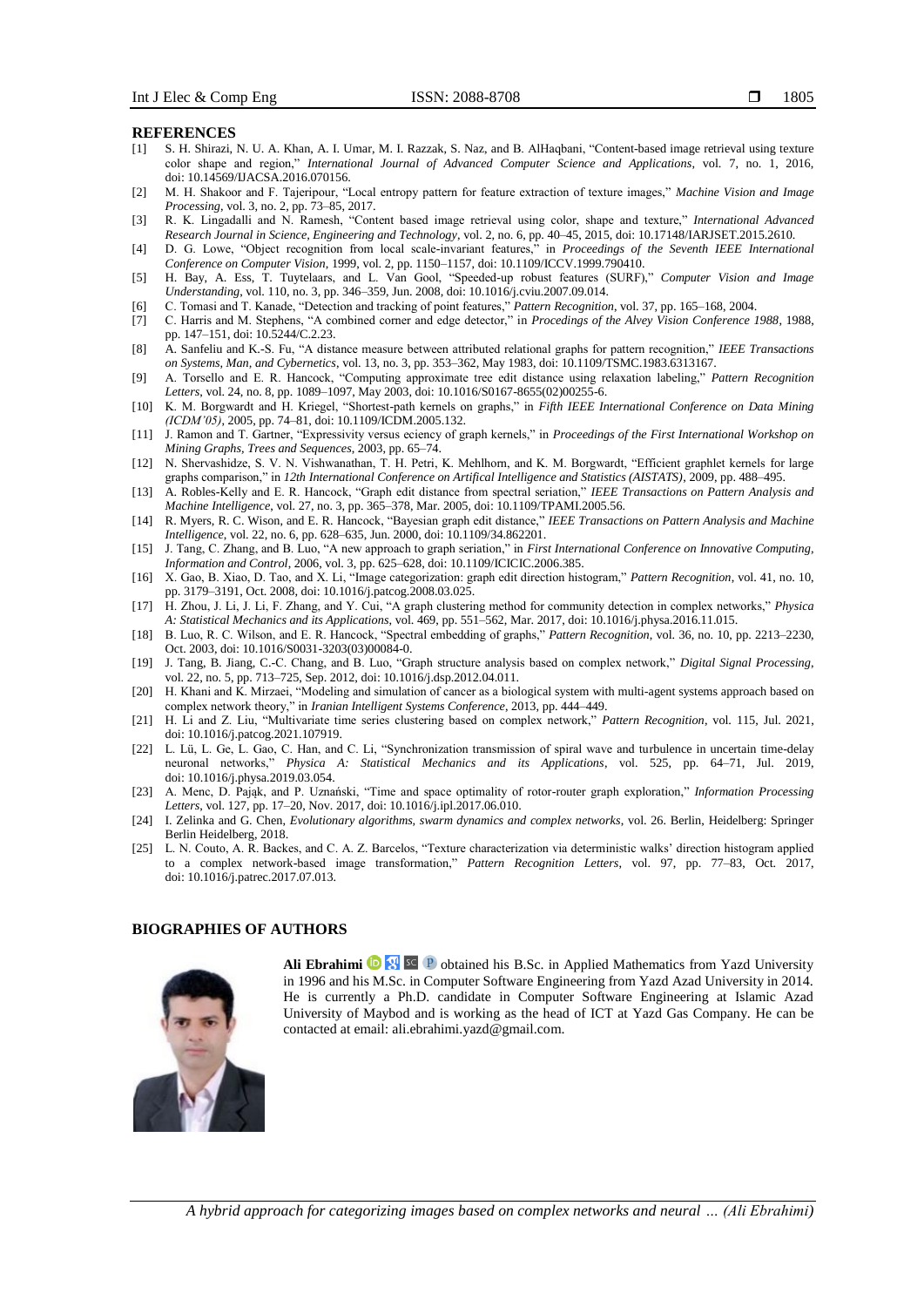#### **REFERENCES**

- [1] S. H. Shirazi, N. U. A. Khan, A. I. Umar, M. I. Razzak, S. Naz, and B. AlHaqbani, "Content-based image retrieval using texture color shape and region," *International Journal of Advanced Computer Science and Applications*, vol. 7, no. 1, 2016, doi: 10.14569/IJACSA.2016.070156.
- [2] M. H. Shakoor and F. Tajeripour, "Local entropy pattern for feature extraction of texture images," *Machine Vision and Image Processing*, vol. 3, no. 2, pp. 73–85, 2017.
- [3] R. K. Lingadalli and N. Ramesh, "Content based image retrieval using color, shape and texture," *International Advanced Research Journal in Science, Engineering and Technology*, vol. 2, no. 6, pp. 40–45, 2015, doi: 10.17148/IARJSET.2015.2610.
- [4] D. G. Lowe, "Object recognition from local scale-invariant features," in *Proceedings of the Seventh IEEE International Conference on Computer Vision*, 1999, vol. 2, pp. 1150–1157, doi: 10.1109/ICCV.1999.790410.
- [5] H. Bay, A. Ess, T. Tuytelaars, and L. Van Gool, "Speeded-up robust features (SURF)," *Computer Vision and Image Understanding*, vol. 110, no. 3, pp. 346–359, Jun. 2008, doi: 10.1016/j.cviu.2007.09.014.
- [6] C. Tomasi and T. Kanade, "Detection and tracking of point features," *Pattern Recognition*, vol. 37, pp. 165–168, 2004.
- [7] C. Harris and M. Stephens, "A combined corner and edge detector," in *Procedings of the Alvey Vision Conference 1988*, 1988, pp. 147–151, doi: 10.5244/C.2.23.
- [8] A. Sanfeliu and K.-S. Fu, "A distance measure between attributed relational graphs for pattern recognition," *IEEE Transactions on Systems, Man, and Cybernetics*, vol. 13, no. 3, pp. 353–362, May 1983, doi: 10.1109/TSMC.1983.6313167.
- [9] A. Torsello and E. R. Hancock, "Computing approximate tree edit distance using relaxation labeling," *Pattern Recognition Letters*, vol. 24, no. 8, pp. 1089–1097, May 2003, doi: 10.1016/S0167-8655(02)00255-6.
- [10] K. M. Borgwardt and H. Kriegel, "Shortest-path kernels on graphs," in *Fifth IEEE International Conference on Data Mining (ICDM'05)*, 2005, pp. 74–81, doi: 10.1109/ICDM.2005.132.
- [11] J. Ramon and T. Gartner, "Expressivity versus eciency of graph kernels," in *Proceedings of the First International Workshop on Mining Graphs, Trees and Sequences*, 2003, pp. 65–74.
- [12] N. Shervashidze, S. V. N. Vishwanathan, T. H. Petri, K. Mehlhorn, and K. M. Borgwardt, "Efficient graphlet kernels for large graphs comparison," in *12th International Conference on Artifical Intelligence and Statistics (AISTATS)*, 2009, pp. 488–495.
- [13] A. Robles-Kelly and E. R. Hancock, "Graph edit distance from spectral seriation," *IEEE Transactions on Pattern Analysis and Machine Intelligence*, vol. 27, no. 3, pp. 365–378, Mar. 2005, doi: 10.1109/TPAMI.2005.56.
- [14] R. Myers, R. C. Wison, and E. R. Hancock, "Bayesian graph edit distance," *IEEE Transactions on Pattern Analysis and Machine Intelligence*, vol. 22, no. 6, pp. 628–635, Jun. 2000, doi: 10.1109/34.862201.
- [15] J. Tang, C. Zhang, and B. Luo, "A new approach to graph seriation," in *First International Conference on Innovative Computing, Information and Control*, 2006, vol. 3, pp. 625–628, doi: 10.1109/ICICIC.2006.385.
- [16] X. Gao, B. Xiao, D. Tao, and X. Li, "Image categorization: graph edit direction histogram," *Pattern Recognition*, vol. 41, no. 10, pp. 3179–3191, Oct. 2008, doi: 10.1016/j.patcog.2008.03.025.
- [17] H. Zhou, J. Li, J. Li, F. Zhang, and Y. Cui, "A graph clustering method for community detection in complex networks," *Physica A: Statistical Mechanics and its Applications*, vol. 469, pp. 551–562, Mar. 2017, doi: 10.1016/j.physa.2016.11.015.
- [18] B. Luo, R. C. Wilson, and E. R. Hancock, "Spectral embedding of graphs," *Pattern Recognition*, vol. 36, no. 10, pp. 2213–2230, Oct. 2003, doi: 10.1016/S0031-3203(03)00084-0.
- [19] J. Tang, B. Jiang, C.-C. Chang, and B. Luo, "Graph structure analysis based on complex network," *Digital Signal Processing*, vol. 22, no. 5, pp. 713–725, Sep. 2012, doi: 10.1016/j.dsp.2012.04.011.
- [20] H. Khani and K. Mirzaei, "Modeling and simulation of cancer as a biological system with multi-agent systems approach based on complex network theory," in *Iranian Intelligent Systems Conference*, 2013, pp. 444–449.
- [21] H. Li and Z. Liu, "Multivariate time series clustering based on complex network," *Pattern Recognition*, vol. 115, Jul. 2021, doi: 10.1016/j.patcog.2021.107919.
- [22] L. Lü, L. Ge, L. Gao, C. Han, and C. Li, "Synchronization transmission of spiral wave and turbulence in uncertain time-delay neuronal networks," *Physica A: Statistical Mechanics and its Applications*, vol. 525, pp. 64–71, Jul. 2019, doi: 10.1016/j.physa.2019.03.054.
- [23] A. Menc, D. Pająk, and P. Uznański, "Time and space optimality of rotor-router graph exploration," *Information Processing Letters*, vol. 127, pp. 17–20, Nov. 2017, doi: 10.1016/j.ipl.2017.06.010.
- [24] I. Zelinka and G. Chen, *Evolutionary algorithms, swarm dynamics and complex networks*, vol. 26. Berlin, Heidelberg: Springer Berlin Heidelberg, 2018.
- [25] L. N. Couto, A. R. Backes, and C. A. Z. Barcelos, "Texture characterization via deterministic walks' direction histogram applied to a complex network-based image transformation," *Pattern Recognition Letters*, vol. 97, pp. 77–83, Oct. 2017, doi: 10.1016/j.patrec.2017.07.013.

# **BIOGRAPHIES OF AUTHORS**



Ali Ebrahimi **D**<sup>[9]</sup> <sup>sc</sup> P obtained his B.Sc. in Applied Mathematics from Yazd University in 1996 and his M.Sc. in Computer Software Engineering from Yazd Azad University in 2014. He is currently a Ph.D. candidate in Computer Software Engineering at Islamic Azad University of Maybod and is working as the head of ICT at Yazd Gas Company. He can be contacted at email: [ali.ebrahimi.yazd@gmail.com.](mailto:ali.ebrahimi.yazd@gmail.com)